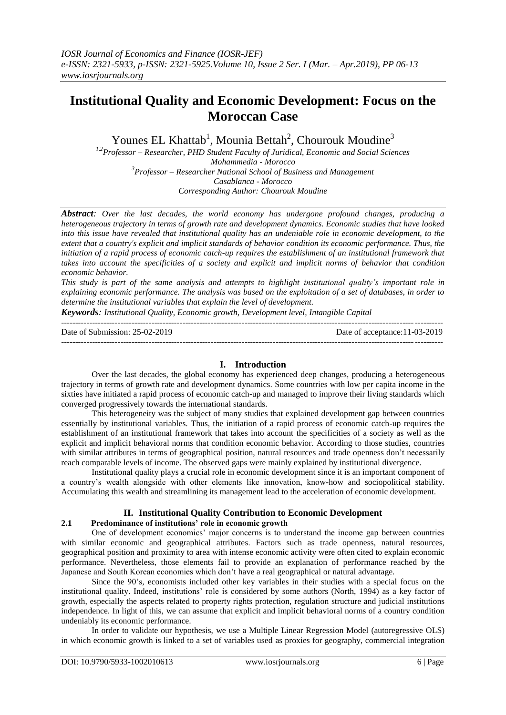# **Institutional Quality and Economic Development: Focus on the Moroccan Case**

Younes EL Khattab<sup>1</sup>, Mounia Bettah<sup>2</sup>, Chourouk Moudine<sup>3</sup>

*1,2Professor – Researcher, PHD Student Faculty of Juridical, Economic and Social Sciences Mohammedia - Morocco <sup>3</sup>Professor – Researcher National School of Business and Management Casablanca - Morocco Corresponding Author: Chourouk Moudine*

*Abstract: Over the last decades, the world economy has undergone profound changes, producing a heterogeneous trajectory in terms of growth rate and development dynamics. Economic studies that have looked into this issue have revealed that institutional quality has an undeniable role in economic development, to the extent that a country's explicit and implicit standards of behavior condition its economic performance. Thus, the initiation of a rapid process of economic catch-up requires the establishment of an institutional framework that takes into account the specificities of a society and explicit and implicit norms of behavior that condition economic behavior.*

*This study is part of the same analysis and attempts to highlight institutional quality's important role in explaining economic performance. The analysis was based on the exploitation of a set of databases, in order to determine the institutional variables that explain the level of development.*

*Keywords: Institutional Quality, Economic growth, Development level, Intangible Capital* ---------------------------------------------------------------------------------------------------------------------------------------

Date of Submission: 25-02-2019 Date of acceptance:11-03-2019 ---------------------------------------------------------------------------------------------------------------------------------------

# **I. Introduction**

Over the last decades, the global economy has experienced deep changes, producing a heterogeneous trajectory in terms of growth rate and development dynamics. Some countries with low per capita income in the sixties have initiated a rapid process of economic catch-up and managed to improve their living standards which converged progressively towards the international standards.

This heterogeneity was the subject of many studies that explained development gap between countries essentially by institutional variables. Thus, the initiation of a rapid process of economic catch-up requires the establishment of an institutional framework that takes into account the specificities of a society as well as the explicit and implicit behavioral norms that condition economic behavior. According to those studies, countries with similar attributes in terms of geographical position, natural resources and trade openness don't necessarily reach comparable levels of income. The observed gaps were mainly explained by institutional divergence.

Institutional quality plays a crucial role in economic development since it is an important component of a country's wealth alongside with other elements like innovation, know-how and sociopolitical stability. Accumulating this wealth and streamlining its management lead to the acceleration of economic development.

# **II. Institutional Quality Contribution to Economic Development**

# **2.1 Predominance of institutions' role in economic growth**

One of development economics' major concerns is to understand the income gap between countries with similar economic and geographical attributes. Factors such as trade openness, natural resources, geographical position and proximity to area with intense economic activity were often cited to explain economic performance. Nevertheless, those elements fail to provide an explanation of performance reached by the Japanese and South Korean economies which don't have a real geographical or natural advantage.

Since the 90's, economists included other key variables in their studies with a special focus on the institutional quality. Indeed, institutions' role is considered by some authors (North, 1994) as a key factor of growth, especially the aspects related to property rights protection, regulation structure and judicial institutions independence. In light of this, we can assume that explicit and implicit behavioral norms of a country condition undeniably its economic performance.

In order to validate our hypothesis, we use a Multiple Linear Regression Model (autoregressive OLS) in which economic growth is linked to a set of variables used as proxies for geography, commercial integration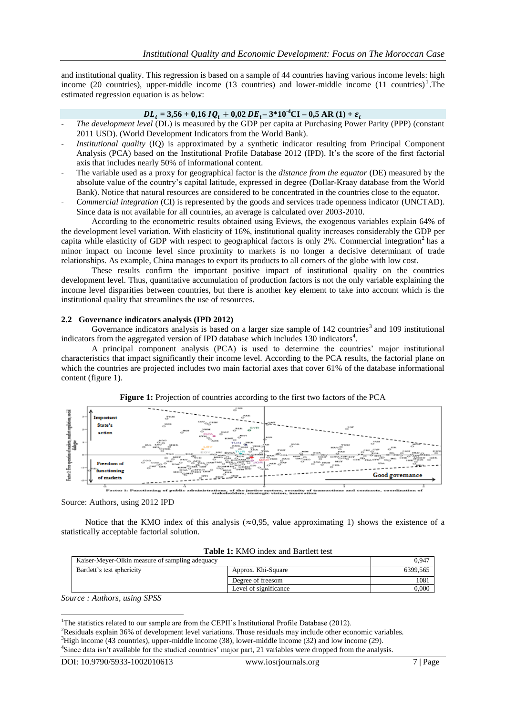and institutional quality. This regression is based on a sample of 44 countries having various income levels: high income (20 countries), upper-middle income (13 countries) and lower-middle income  $(11 \text{ countries})^1$ . The estimated regression equation is as below:

### $DL_t = 3,56 + 0,16$   $IQ_t + 0,02$   $DE_t - 3*10<sup>-4</sup>CI - 0,5$  AR (1) +  $\varepsilon_t$

- *The development level* (DL) is measured by the GDP per capita at Purchasing Power Parity (PPP) (constant 2011 USD). (World Development Indicators from the World Bank).
- *Institutional quality* (IQ) is approximated by a synthetic indicator resulting from Principal Component Analysis (PCA) based on the Institutional Profile Database 2012 (IPD). It's the score of the first factorial axis that includes nearly 50% of informational content.
- The variable used as a proxy for geographical factor is the *distance from the equator* (DE) measured by the absolute value of the country's capital latitude, expressed in degree (Dollar-Kraay database from the World Bank). Notice that natural resources are considered to be concentrated in the countries close to the equator.
- *Commercial integration* (CI) is represented by the goods and services trade openness indicator (UNCTAD). Since data is not available for all countries, an average is calculated over 2003-2010.

According to the econometric results obtained using Eviews, the exogenous variables explain 64% of the development level variation. With elasticity of 16%, institutional quality increases considerably the GDP per capita while elasticity of GDP with respect to geographical factors is only 2%. Commercial integration<sup>2</sup> has a minor impact on income level since proximity to markets is no longer a decisive determinant of trade relationships. As example, China manages to export its products to all corners of the globe with low cost.

These results confirm the important positive impact of institutional quality on the countries development level. Thus, quantitative accumulation of production factors is not the only variable explaining the income level disparities between countries, but there is another key element to take into account which is the institutional quality that streamlines the use of resources.

#### **2.2 Governance indicators analysis (IPD 2012)**

Governance indicators analysis is based on a larger size sample of 142 countries<sup>3</sup> and 109 institutional indicators from the aggregated version of IPD database which includes 130 indicators<sup>4</sup>.

A principal component analysis (PCA) is used to determine the countries' major institutional characteristics that impact significantly their income level. According to the PCA results, the factorial plane on which the countries are projected includes two main factorial axes that cover 61% of the database informational content (figure 1).



**Figure 1:** Projection of countries according to the first two factors of the PCA

Source: Authors, using 2012 IPD

Notice that the KMO index of this analysis ( $\approx 0.95$ , value approximating 1) shows the existence of a statistically acceptable factorial solution.

| Kaiser-Meyer-Olkin measure of sampling adequacy |                       | $0.94^{-}$ |
|-------------------------------------------------|-----------------------|------------|
| Bartlett's test sphericity                      | Approx. Khi-Square    | 6399.565   |
|                                                 | Degree of freesom     | 1081       |
|                                                 | Level of significance | $0.000\,$  |
| -----                                           |                       |            |

*Source : Authors, using SPSS*

**.** 

<sup>&</sup>lt;sup>1</sup>The statistics related to our sample are from the CEPII's Institutional Profile Database (2012).

<sup>&</sup>lt;sup>2</sup>Residuals explain 36% of development level variations. Those residuals may include other economic variables.  $3$ High income (43 countries), upper-middle income (38), lower-middle income (32) and low income (29).

<sup>4</sup> Since data isn't available for the studied countries' major part, 21 variables were dropped from the analysis.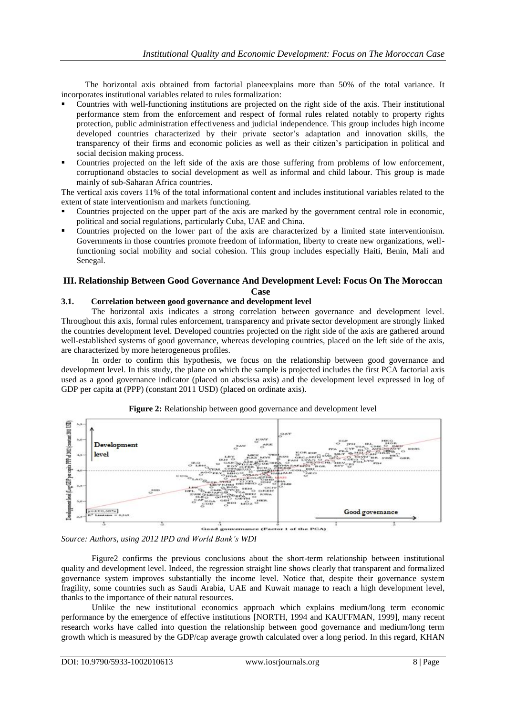The horizontal axis obtained from factorial planeexplains more than 50% of the total variance. It incorporates institutional variables related to rules formalization:

- Countries with well-functioning institutions are projected on the right side of the axis. Their institutional performance stem from the enforcement and respect of formal rules related notably to property rights protection, public administration effectiveness and judicial independence. This group includes high income developed countries characterized by their private sector's adaptation and innovation skills, the transparency of their firms and economic policies as well as their citizen's participation in political and social decision making process.
- Countries projected on the left side of the axis are those suffering from problems of low enforcement, corruptionand obstacles to social development as well as informal and child labour. This group is made mainly of sub-Saharan Africa countries.

The vertical axis covers 11% of the total informational content and includes institutional variables related to the extent of state interventionism and markets functioning.

- Countries projected on the upper part of the axis are marked by the government central role in economic, political and social regulations, particularly Cuba, UAE and China.
- Countries projected on the lower part of the axis are characterized by a limited state interventionism. Governments in those countries promote freedom of information, liberty to create new organizations, wellfunctioning social mobility and social cohesion. This group includes especially Haiti, Benin, Mali and Senegal.

# **III. Relationship Between Good Governance And Development Level: Focus On The Moroccan Case**

# **3.1. Correlation between good governance and development level**

The horizontal axis indicates a strong correlation between governance and development level. Throughout this axis, formal rules enforcement, transparency and private sector development are strongly linked the countries development level. Developed countries projected on the right side of the axis are gathered around well-established systems of good governance, whereas developing countries, placed on the left side of the axis, are characterized by more heterogeneous profiles.

In order to confirm this hypothesis, we focus on the relationship between good governance and development level. In this study, the plane on which the sample is projected includes the first PCA factorial axis used as a good governance indicator (placed on abscissa axis) and the development level expressed in log of GDP per capita at (PPP) (constant 2011 USD) (placed on ordinate axis).



**Figure 2:** Relationship between good governance and development level

Figure2 confirms the previous conclusions about the short-term relationship between institutional quality and development level. Indeed, the regression straight line shows clearly that transparent and formalized governance system improves substantially the income level. Notice that, despite their governance system fragility, some countries such as Saudi Arabia, UAE and Kuwait manage to reach a high development level, thanks to the importance of their natural resources.

Unlike the new institutional economics approach which explains medium/long term economic performance by the emergence of effective institutions [NORTH, 1994 and KAUFFMAN, 1999], many recent research works have called into question the relationship between good governance and medium/long term growth which is measured by the GDP/cap average growth calculated over a long period. In this regard, KHAN

*Source: Authors, using 2012 IPD and World Bank's WDI*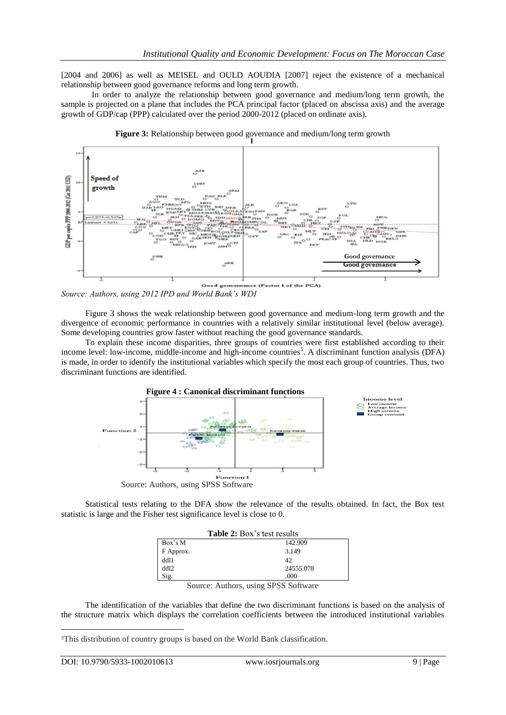[2004 and 2006] as well as MEISEL and OULD AOUDIA [2007] reject the existence of a mechanical relationship between good governance reforms and long term growth.

In order to analyze the relationship between good governance and medium/long term growth, the sample is projected on a plane that includes the PCA principal factor (placed on abscissa axis) and the average growth of GDP/cap (PPP) calculated over the period 2000-2012 (placed on ordinate axis).



**Figure 3:** Relationship between good governance and medium/long term growth

*Source: Authors, using 2012 IPD and World Bank's WDI* 

Figure 3 shows the weak relationship between good governance and medium-long term growth and the divergence of economic performance in countries with a relatively similar institutional level (below average). Some developing countries grow faster without reaching the good governance standards.

To explain these income disparities, three groups of countries were first established according to their income level: low-income, middle-income and high-income countries<sup>5</sup>. A discriminant function analysis (DFA) is made, in order to identify the institutional variables which specify the most each group of countries. Thus, two discriminant functions are identified.



Statistical tests relating to the DFA show the relevance of the results obtained. In fact, the Box test statistic is large and the Fisher test significance level is close to 0.

| <b>Table 2:</b> Box's test results |                                                      |  |  |  |
|------------------------------------|------------------------------------------------------|--|--|--|
| Box's M                            | 142.909                                              |  |  |  |
| F Approx.                          | 3.149                                                |  |  |  |
| dd11                               | 42                                                   |  |  |  |
| dd12                               | 24555.078                                            |  |  |  |
| Sig.                               | .000                                                 |  |  |  |
| $\sim$                             | ٠<br>$\alpha$ $\alpha$ $\alpha$ $\alpha$<br>$\cdots$ |  |  |  |

Source: Authors, using SPSS Software

The identification of the variables that define the two discriminant functions is based on the analysis of the structure matrix which displays the correlation coefficients between the introduced institutional variables

1

<sup>5</sup>This distribution of country groups is based on the World Bank classification.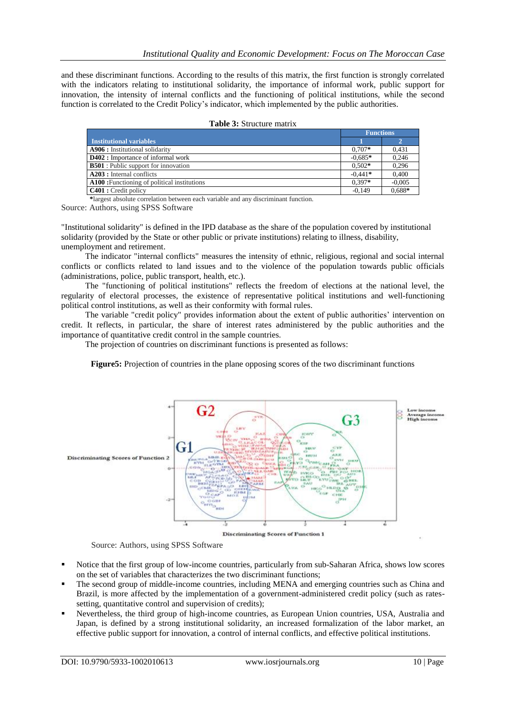# *Institutional Quality and Economic Development: Focus on The Moroccan Case*

and these discriminant functions. According to the results of this matrix, the first function is strongly correlated with the indicators relating to institutional solidarity, the importance of informal work, public support for innovation, the intensity of internal conflicts and the functioning of political institutions, while the second function is correlated to the Credit Policy's indicator, which implemented by the public authorities.

|                                             | <b>Functions</b> |          |
|---------------------------------------------|------------------|----------|
| <b>Institutional variables</b>              |                  |          |
| A906 : Institutional solidarity             | $0.707*$         | 0.431    |
| <b>D402</b> : Importance of informal work   | $-0.685*$        | 0.246    |
| <b>B501</b> : Public support for innovation | $0.502*$         | 0.296    |
| <b>A203</b> : Internal conflicts            | $-0.441*$        | 0.400    |
| A100: Functioning of political institutions | $0.397*$         | $-0.005$ |
| <b>C401</b> : Credit policy                 | $-0.149$         | $0.688*$ |

|  | <b>Table 3: Structure matrix</b> |  |
|--|----------------------------------|--|
|--|----------------------------------|--|

**\***largest absolute correlation between each variable and any discriminant function.

Source: Authors, using SPSS Software

"Institutional solidarity" is defined in the IPD database as the share of the population covered by institutional solidarity (provided by the State or other public or private institutions) relating to illness, disability, unemployment and retirement.

The indicator "internal conflicts" measures the intensity of ethnic, religious, regional and social internal conflicts or conflicts related to land issues and to the violence of the population towards public officials (administrations, police, public transport, health, etc.).

The "functioning of political institutions" reflects the freedom of elections at the national level, the regularity of electoral processes, the existence of representative political institutions and well-functioning political control institutions, as well as their conformity with formal rules.

The variable "credit policy" provides information about the extent of public authorities' intervention on credit. It reflects, in particular, the share of interest rates administered by the public authorities and the importance of quantitative credit control in the sample countries.

The projection of countries on discriminant functions is presented as follows:





Source: Authors, using SPSS Software

- Notice that the first group of low-income countries, particularly from sub-Saharan Africa, shows low scores on the set of variables that characterizes the two discriminant functions;
- The second group of middle-income countries, including MENA and emerging countries such as China and Brazil, is more affected by the implementation of a government-administered credit policy (such as ratessetting, quantitative control and supervision of credits);
- Nevertheless, the third group of high-income countries, as European Union countries, USA, Australia and Japan, is defined by a strong institutional solidarity, an increased formalization of the labor market, an effective public support for innovation, a control of internal conflicts, and effective political institutions.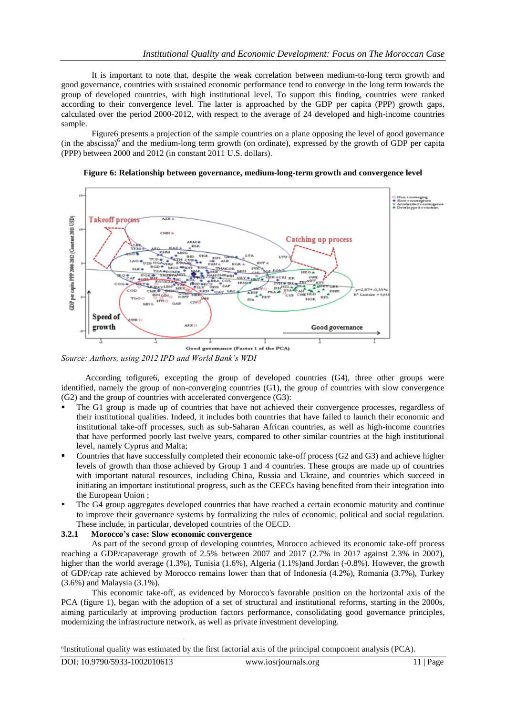# *Institutional Quality and Economic Development: Focus on The Moroccan Case*

It is important to note that, despite the weak correlation between medium-to-long term growth and good governance, countries with sustained economic performance tend to converge in the long term towards the group of developed countries, with high institutional level. To support this finding, countries were ranked according to their convergence level. The latter is approached by the GDP per capita (PPP) growth gaps, calculated over the period 2000-2012, with respect to the average of 24 developed and high-income countries sample.

Figure6 presents a projection of the sample countries on a plane opposing the level of good governance (in the abscissa) $6$  and the medium-long term growth (on ordinate), expressed by the growth of GDP per capita (PPP) between 2000 and 2012 (in constant 2011 U.S. dollars).



#### **Figure 6: Relationship between governance, medium-long-term growth and convergence level**

*Source: Authors, using 2012 IPD and World Bank's WDI* 

According tofigure6, excepting the group of developed countries (G4), three other groups were identified, namely the group of non-converging countries (G1), the group of countries with slow convergence (G2) and the group of countries with accelerated convergence (G3):

- The G1 group is made up of countries that have not achieved their convergence processes, regardless of their institutional qualities. Indeed, it includes both countries that have failed to launch their economic and institutional take-off processes, such as sub-Saharan African countries, as well as high-income countries that have performed poorly last twelve years, compared to other similar countries at the high institutional level, namely Cyprus and Malta;
- Countries that have successfully completed their economic take-off process (G2 and G3) and achieve higher levels of growth than those achieved by Group 1 and 4 countries. These groups are made up of countries with important natural resources, including China, Russia and Ukraine, and countries which succeed in initiating an important institutional progress, such as the CEECs having benefited from their integration into the European Union ;
- The G4 group aggregates developed countries that have reached a certain economic maturity and continue to improve their governance systems by formalizing the rules of economic, political and social regulation. These include, in particular, developed countries of the OECD.

### **3.2.1 Morocco's case: Slow economic convergence**

As part of the second group of developing countries, Morocco achieved its economic take-off process reaching a GDP/capaverage growth of 2.5% between 2007 and 2017 (2.7% in 2017 against 2.3% in 2007), higher than the world average (1.3%), Tunisia (1.6%), Algeria (1.1%)and Jordan (-0.8%). However, the growth of GDP/cap rate achieved by Morocco remains lower than that of Indonesia (4.2%), Romania (3.7%), Turkey (3.6%) and Malaysia (3.1%).

This economic take-off, as evidenced by Morocco's favorable position on the horizontal axis of the PCA (figure 1), began with the adoption of a set of structural and institutional reforms, starting in the 2000s, aiming particularly at improving production factors performance, consolidating good governance principles, modernizing the infrastructure network, as well as private investment developing.

 $\overline{a}$ 

<sup>6</sup> Institutional quality was estimated by the first factorial axis of the principal component analysis (PCA).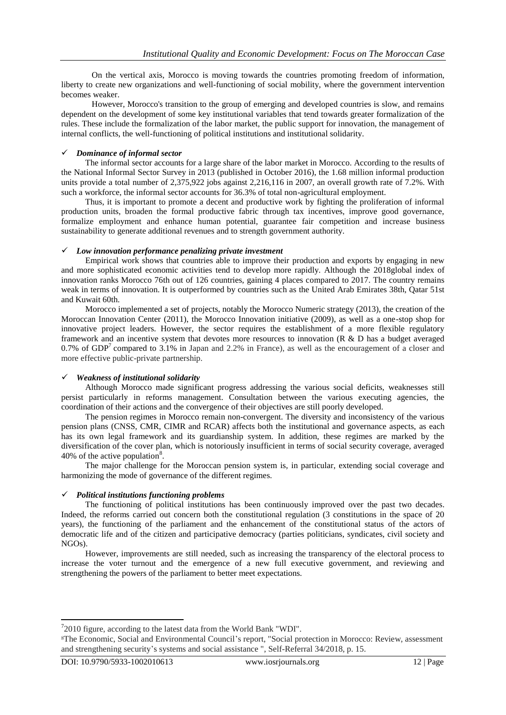On the vertical axis, Morocco is moving towards the countries promoting freedom of information, liberty to create new organizations and well-functioning of social mobility, where the government intervention becomes weaker.

However, Morocco's transition to the group of emerging and developed countries is slow, and remains dependent on the development of some key institutional variables that tend towards greater formalization of the rules. These include the formalization of the labor market, the public support for innovation, the management of internal conflicts, the well-functioning of political institutions and institutional solidarity.

### *Dominance of informal sector*

The informal sector accounts for a large share of the labor market in Morocco. According to the results of the National Informal Sector Survey in 2013 (published in October 2016), the 1.68 million informal production units provide a total number of 2,375,922 jobs against 2,216,116 in 2007, an overall growth rate of 7.2%. With such a workforce, the informal sector accounts for 36.3% of total non-agricultural employment.

Thus, it is important to promote a decent and productive work by fighting the proliferation of informal production units, broaden the formal productive fabric through tax incentives, improve good governance, formalize employment and enhance human potential, guarantee fair competition and increase business sustainability to generate additional revenues and to strength government authority.

#### *Low innovation performance penalizing private investment*

Empirical work shows that countries able to improve their production and exports by engaging in new and more sophisticated economic activities tend to develop more rapidly. Although the 2018global index of innovation ranks Morocco 76th out of 126 countries, gaining 4 places compared to 2017. The country remains weak in terms of innovation. It is outperformed by countries such as the United Arab Emirates 38th, Qatar 51st and Kuwait 60th.

Morocco implemented a set of projects, notably the Morocco Numeric strategy (2013), the creation of the Moroccan Innovation Center (2011), the Morocco Innovation initiative (2009), as well as a one-stop shop for innovative project leaders. However, the sector requires the establishment of a more flexible regulatory framework and an incentive system that devotes more resources to innovation (R & D has a budget averaged 0.7% of  $GDP<sup>7</sup>$  compared to 3.1% in Japan and 2.2% in France), as well as the encouragement of a closer and more effective public-private partnership.

### *Weakness of institutional solidarity*

Although Morocco made significant progress addressing the various social deficits, weaknesses still persist particularly in reforms management. Consultation between the various executing agencies, the coordination of their actions and the convergence of their objectives are still poorly developed.

The pension regimes in Morocco remain non-convergent. The diversity and inconsistency of the various pension plans (CNSS, CMR, CIMR and RCAR) affects both the institutional and governance aspects, as each has its own legal framework and its guardianship system. In addition, these regimes are marked by the diversification of the cover plan, which is notoriously insufficient in terms of social security coverage, averaged 40% of the active population<sup>8</sup>.

The major challenge for the Moroccan pension system is, in particular, extending social coverage and harmonizing the mode of governance of the different regimes.

### *Political institutions functioning problems*

The functioning of political institutions has been continuously improved over the past two decades. Indeed, the reforms carried out concern both the constitutional regulation (3 constitutions in the space of 20 years), the functioning of the parliament and the enhancement of the constitutional status of the actors of democratic life and of the citizen and participative democracy (parties politicians, syndicates, civil society and NGOs).

However, improvements are still needed, such as increasing the transparency of the electoral process to increase the voter turnout and the emergence of a new full executive government, and reviewing and strengthening the powers of the parliament to better meet expectations.

1

 $72010$  figure, according to the latest data from the World Bank "WDI".

<sup>8</sup>The Economic, Social and Environmental Council's report, "Social protection in Morocco: Review, assessment and strengthening security's systems and social assistance ", Self-Referral 34/2018, p. 15.